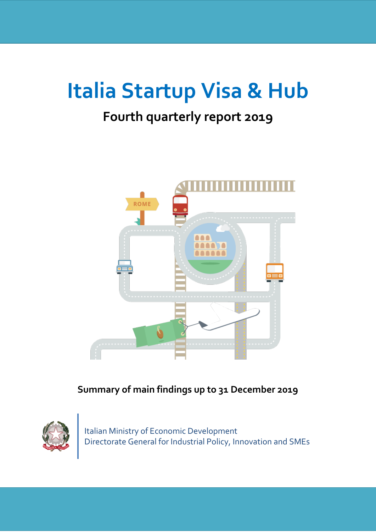# **Italia Startup Visa & Hub**

# **Fourth quarterly report 2019**



### **Summary of main findings up to 31 December 2019**



Italian Ministry of Economic Development Directorate General for Industrial Policy, Innovation and SMEs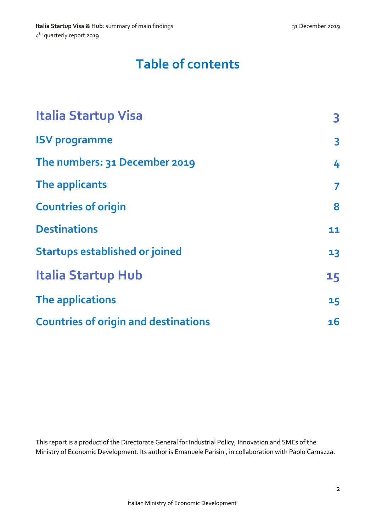# **Table of contents**

| <b>Italia Startup Visa</b>                  | 3                       |
|---------------------------------------------|-------------------------|
| <b>ISV programme</b>                        | $\overline{\mathbf{3}}$ |
| The numbers: 31 December 2019               | 4                       |
| The applicants                              | 7                       |
| <b>Countries of origin</b>                  | 8                       |
| <b>Destinations</b>                         | 11                      |
| <b>Startups established or joined</b>       | 13                      |
| <b>Italia Startup Hub</b>                   | 15                      |
| The applications                            | 15                      |
| <b>Countries of origin and destinations</b> | 16                      |

This report is a product of the Directorate General for Industrial Policy, Innovation and SMEs of the Ministry of Economic Development. Its author is Emanuele Parisini, in collaboration with Paolo Carnazza.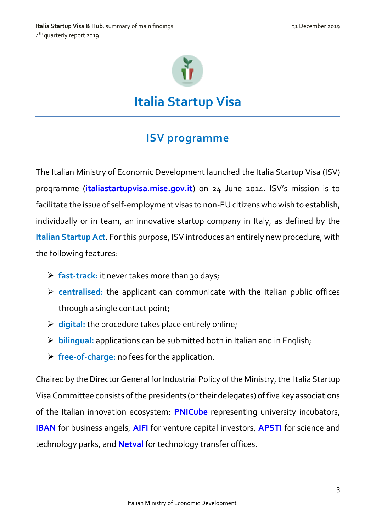

**Italia Startup Visa**

### **ISV programme**

<span id="page-2-1"></span><span id="page-2-0"></span>The Italian Ministry of Economic Development launched the Italia Startup Visa (ISV) programme (**[italiastartupvisa.mise.gov.it](http://italiastartupvisa.mise.gov.it/#ISVhome)**) on 24 June 2014. ISV's mission is to facilitate the issue of self-employment visas to non-EUcitizens who wish to establish, individually or in team, an innovative startup company in Italy, as defined by the **[Italian Startup Act](https://www.mise.gov.it/images/stories/documenti/THE-ITALIAN-STARTUP-ACT-agg20.pdf)**. For this purpose, ISV introduces an entirely new procedure, with the following features:

- **fast-track:** it never takes more than 30 days;
- **centralised:** the applicant can communicate with the Italian public offices through a single contact point;
- **digital:** the procedure takes place entirely online;
- **bilingual:** applications can be submitted both in Italian and in English;
- **free-of-charge:** no fees for the application.

Chaired by the Director General for Industrial Policy of the Ministry, the Italia Startup Visa Committee consists of the presidents (or their delegates) of five key associations of the Italian innovation ecosystem: **[PNICube](http://www.pnicube.it/)** representing university incubators, **[IBAN](http://www.iban.it/)** for business angels, **[AIFI](http://www.aifi.it/)** for venture capital investors, **[APSTI](http://www.apsti.it/)** for science and technology parks, and **[Netval](http://netval.it/)** for technology transfer offices.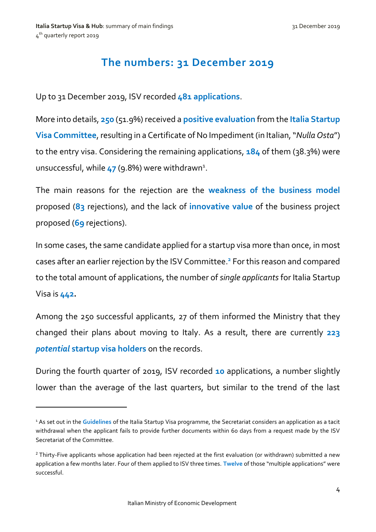**.** 

## **The numbers: 31 December 2019**

<span id="page-3-0"></span>Up to 31 December 2019, ISV recorded **481 applications**.

More into details, **250** (51.9%) received a **positive evaluation** from the **Italia Startup Visa Committee**, resulting in a Certificate of No Impediment (in Italian, "*Nulla Osta"*) to the entry visa. Considering the remaining applications, **184** of them (38.3%) were unsuccessful, while 47 (9.8%) were withdrawn<sup>1</sup>.

The main reasons for the rejection are the **weakness of the business model** proposed (**83** rejections), and the lack of **innovative value** of the business project proposed (**69** rejections).

In some cases, the same candidate applied for a startup visa more than once, in most cases after an earlier rejection by the ISV Committee.**<sup>2</sup>** For this reason and compared to the total amount of applications, the number of *single applicants* for Italia Startup Visa is **442.**

Among the 250 successful applicants, 27 of them informed the Ministry that they changed their plans about moving to Italy. As a result, there are currently **223** *potential* **startup visa holders** on the records.

During the fourth quarter of 2019, ISV recorded **10** applications, a number slightly lower than the average of the last quarters, but similar to the trend of the last

<sup>1</sup> As set out in the **[Guidelines](http://italiastartupvisa.mise.gov.it/media/documents/Guidelines%20ISV%20ENG%2020_03_2018%20def.pdf)** of the Italia Startup Visa programme, the Secretariat considers an application as a tacit withdrawal when the applicant fails to provide further documents within 60 days from a request made by the ISV Secretariat of the Committee.

<sup>&</sup>lt;sup>2</sup> Thirty-Five applicants whose application had been rejected at the first evaluation (or withdrawn) submitted a new application a few months later. Four of them applied to ISV three times. **Twelve** of those "multiple applications" were successful.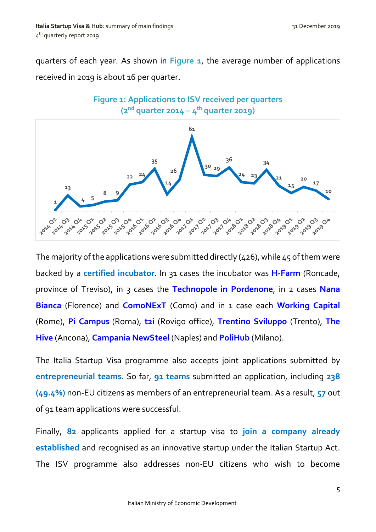quarters of each year. As shown in **Figure 1**, the average number of applications received in 2019 is about 16 per quarter.



The majority of the applications were submitted directly (426), while 45 of them were backed by a **certified incubator**. In 31 cases the incubator was **[H-Farm](http://www.h-farm.com/)** (Roncade, province of Treviso), in 3 cases the **[Technopole](http://www.polo.pn.it/) in Pordenone**, in 2 cases **[Nana](https://nanabianca.it/)  [Bianca](https://nanabianca.it/)** (Florence) and **[ComoNExT](https://www.comonext.it/)** (Como) and in 1 case each **[Working Capital](http://www.wcap.tim.it/it)** (Rome), **Pi Campus** (Roma), **[t2i](http://www.t2i.it/who-is-t/)** (Rovigo office), **[Trentino Sviluppo](https://www.trentinosviluppo.it/)** (Trento), **[The](http://www.the-hive.it/)  [Hive](http://www.the-hive.it/)** (Ancona), **[Campania NewSteel](https://www.campanianewsteel.it/)** (Naples) and **[PoliHub](https://www.polihub.it/)** (Milano).

The Italia Startup Visa programme also accepts joint applications submitted by **entrepreneurial teams**. So far, **91 teams** submitted an application, including **238 (49.4%)** non-EU citizens as members of an entrepreneurial team. As a result, **57** out of 91 team applications were successful.

Finally, **82** applicants applied for a startup visa to **join a company already established** and recognised as an innovative startup under the Italian Startup Act. The ISV programme also addresses non-EU citizens who wish to become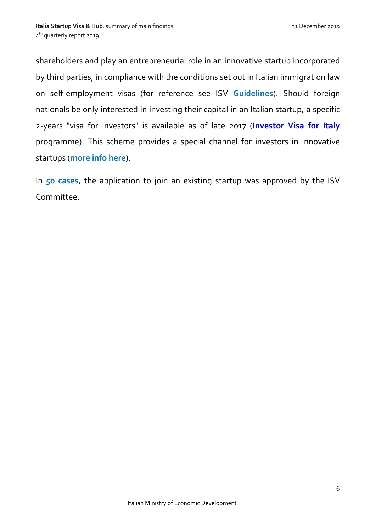shareholders and play an entrepreneurial role in an innovative startup incorporated by third parties, in compliance with the conditions set out in Italian immigration law on self-employment visas (for reference see ISV **[Guidelines](http://italiastartupvisa.mise.gov.it/media/documents/Guidelines%20ISV%20ENG%2020_03_2018%20def.pdf)**). Should foreign nationals be only interested in investing their capital in an Italian startup, a specific 2-years "visa for investors" is available as of late 2017 (**[Investor Visa for Italy](https://investorvisa.mise.gov.it/index.php/en/)** programme). This scheme provides a special channel for investors in innovative startups (**[more info here](https://investorvisa.mise.gov.it/images/documenti/Investor-Visa-for-Italy---Policy-guidance-ENG-14_09_2018-DEF.pdf)**).

In **50 cases**, the application to join an existing startup was approved by the ISV Committee.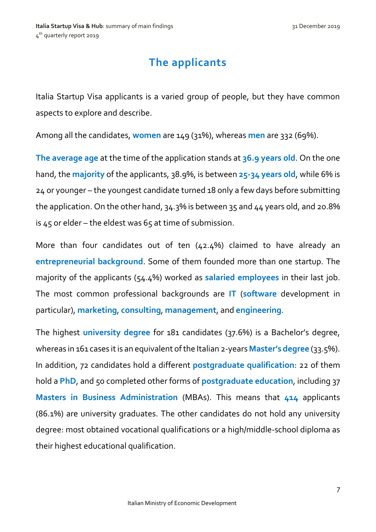# **The applicants**

<span id="page-6-0"></span>Italia Startup Visa applicants is a varied group of people, but they have common aspects to explore and describe.

Among all the candidates, **women** are 149 (31%), whereas **men** are 332 (69%).

**The average age** at the time of the application stands at **36.9 years old**. On the one hand, the **majority** of the applicants, 38.9%, is between **25-34 years old**, while 6% is 24 or younger – the youngest candidate turned 18 only a few days before submitting the application. On the other hand, 34.3% is between 35 and 44 years old, and 20.8% is  $45$  or elder – the eldest was  $65$  at time of submission.

More than four candidates out of ten (42.4%) claimed to have already an **entrepreneurial background**. Some of them founded more than one startup. The majority of the applicants (54.4%) worked as **salaried employees** in their last job. The most common professional backgrounds are **IT** (**software** development in particular), **marketing**, **consulting**, **management**, and **engineering**.

The highest **university degree** for 181 candidates (37.6%) is a Bachelor's degree, whereas in 161 cases it is an equivalent of the Italian 2-years **Master's degree** (33.5%). In addition, 72 candidates hold a different **postgraduate qualification**: 22 of them hold a **PhD**, and 50 completed other forms of **postgraduate education**, including 37 **Masters in Business Administration** (MBAs). This means that **414** applicants (86.1%) are university graduates. The other candidates do not hold any university degree: most obtained vocational qualifications or a high/middle-school diploma as their highest educational qualification.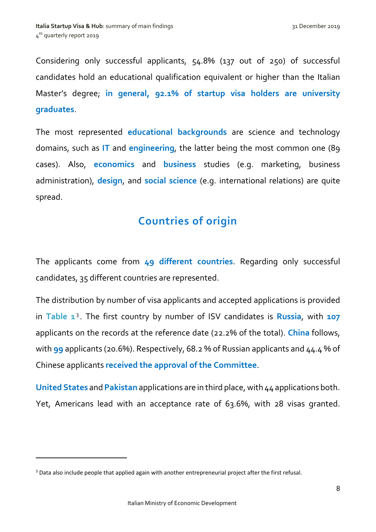Considering only successful applicants, 54.8% (137 out of 250) of successful candidates hold an educational qualification equivalent or higher than the Italian Master's degree; **in general, 92.1% of startup visa holders are university graduates**.

The most represented **educational backgrounds** are science and technology domains, such as **IT** and **engineering**, the latter being the most common one (89 cases). Also, **economics** and **business** studies (e.g. marketing, business administration), **design**, and **social science** (e.g. international relations) are quite spread.

## **Countries of origin**

<span id="page-7-0"></span>The applicants come from **49 different countries**. Regarding only successful candidates, 35 different countries are represented.

The distribution by number of visa applicants and accepted applications is provided in **Table 1**<sup>3</sup> . The first country by number of ISV candidates is **Russia**, with **107** applicants on the records at the reference date (22.2% of the total). **China** follows, with **99** applicants (20.6%). Respectively, 68.2 % of Russian applicants and 44.4 % of Chinese applicants **received the approval of the Committee**.

**United States** and **Pakistan** applications are in third place, with 44 applications both. Yet, Americans lead with an acceptance rate of 63.6%, with 28 visas granted.

**.** 

<sup>&</sup>lt;sup>3</sup> Data also include people that applied again with another entrepreneurial project after the first refusal.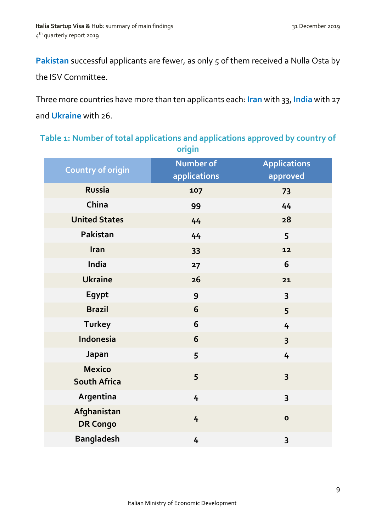**Pakistan** successful applicants are fewer, as only 5 of them received a Nulla Osta by the ISV Committee.

Three more countries have more than ten applicants each: **Iran** with 33, **India** with 27 and **Ukraine** with 26.

| Table 1: Number of total applications and applications approved by country of |
|-------------------------------------------------------------------------------|
| origin                                                                        |

| <b>Country of origin</b>             | Number of      | <b>Applications</b>     |
|--------------------------------------|----------------|-------------------------|
|                                      | applications   | approved                |
| <b>Russia</b>                        | 107            | 73                      |
| China                                | 99             | 44                      |
| <b>United States</b>                 | 44             | 28                      |
| Pakistan                             | 44             | 5                       |
| Iran                                 | 33             | 12                      |
| India                                | 27             | 6                       |
| <b>Ukraine</b>                       | 26             | 21                      |
| Egypt                                | 9              | 3                       |
| <b>Brazil</b>                        | 6              | 5                       |
| <b>Turkey</b>                        | 6              | 4                       |
| Indonesia                            | 6              | $\overline{\mathbf{3}}$ |
| Japan                                | 5              | 4                       |
| <b>Mexico</b><br><b>South Africa</b> | 5              | $\overline{\mathbf{3}}$ |
| Argentina                            | $\overline{4}$ | 3                       |
| Afghanistan<br><b>DR Congo</b>       | 4              | $\mathbf{o}$            |
| <b>Bangladesh</b>                    | 4              | 3                       |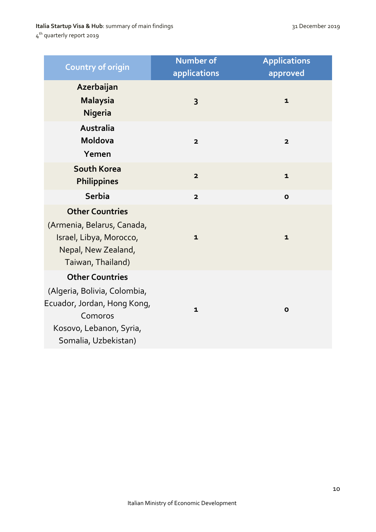#### **Italia Startup Visa & Hub**: summary of main findings 31 December 2019

4<sup>th</sup> quarterly report 2019

| <b>Country of origin</b>                                                                                                                            | <b>Number of</b><br>applications | <b>Applications</b><br>approved |
|-----------------------------------------------------------------------------------------------------------------------------------------------------|----------------------------------|---------------------------------|
| Azerbaijan<br><b>Malaysia</b><br><b>Nigeria</b>                                                                                                     | 3                                | $\mathbf{1}$                    |
| <b>Australia</b><br>Moldova<br>Yemen                                                                                                                | $\overline{2}$                   | $\overline{\mathbf{2}}$         |
| <b>South Korea</b><br><b>Philippines</b>                                                                                                            | $\overline{\mathbf{2}}$          | $\mathbf{1}$                    |
| <b>Serbia</b>                                                                                                                                       | $\overline{\mathbf{2}}$          | $\mathbf{o}$                    |
| <b>Other Countries</b><br>(Armenia, Belarus, Canada,<br>Israel, Libya, Morocco,<br>Nepal, New Zealand,<br>Taiwan, Thailand)                         | $\mathbf{1}$                     | $\mathbf{1}$                    |
| <b>Other Countries</b><br>(Algeria, Bolivia, Colombia,<br>Ecuador, Jordan, Hong Kong,<br>Comoros<br>Kosovo, Lebanon, Syria,<br>Somalia, Uzbekistan) | $\mathbf{1}$                     | $\mathbf{o}$                    |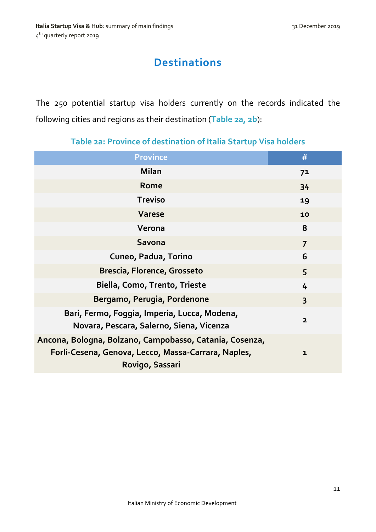# **Destinations**

<span id="page-10-0"></span>The 250 potential startup visa holders currently on the records indicated the following cities and regions as their destination (**Table 2a, 2b**):

| <b>Province</b>                                                                                                                   | #              |
|-----------------------------------------------------------------------------------------------------------------------------------|----------------|
| <b>Milan</b>                                                                                                                      | 7 <sup>1</sup> |
| Rome                                                                                                                              | 34             |
| <b>Treviso</b>                                                                                                                    | 19             |
| <b>Varese</b>                                                                                                                     | 10             |
| Verona                                                                                                                            | 8              |
| <b>Savona</b>                                                                                                                     | $\overline{7}$ |
| Cuneo, Padua, Torino                                                                                                              | 6              |
| <b>Brescia, Florence, Grosseto</b>                                                                                                | 5              |
| Biella, Como, Trento, Trieste                                                                                                     | 4              |
| Bergamo, Perugia, Pordenone                                                                                                       | $\overline{3}$ |
| Bari, Fermo, Foggia, Imperia, Lucca, Modena,<br>Novara, Pescara, Salerno, Siena, Vicenza                                          | $\overline{2}$ |
| Ancona, Bologna, Bolzano, Campobasso, Catania, Cosenza,<br>Forlì-Cesena, Genova, Lecco, Massa-Carrara, Naples,<br>Rovigo, Sassari | $\mathbf{1}$   |

#### **Table 2a: Province of destination of Italia Startup Visa holders**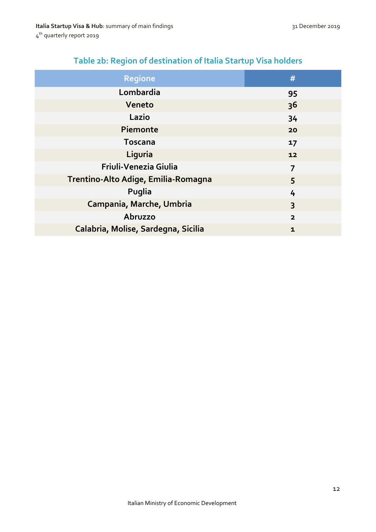| Table 2b: Region of destination of Italia Startup Visa holders |  |  |
|----------------------------------------------------------------|--|--|
|                                                                |  |  |

<span id="page-11-0"></span>

| <b>Regione</b>                      | #                       |
|-------------------------------------|-------------------------|
| Lombardia                           | 95                      |
| Veneto                              | 3 <sup>6</sup>          |
| Lazio                               | 34                      |
| Piemonte                            | 20                      |
| <b>Toscana</b>                      | 17                      |
| Liguria                             | 12                      |
| Friuli-Venezia Giulia               | 7                       |
| Trentino-Alto Adige, Emilia-Romagna | 5                       |
| Puglia                              | 4                       |
| Campania, Marche, Umbria            | $\overline{\mathbf{3}}$ |
| Abruzzo                             | $\overline{\mathbf{2}}$ |
| Calabria, Molise, Sardegna, Sicilia | $\mathbf{1}$            |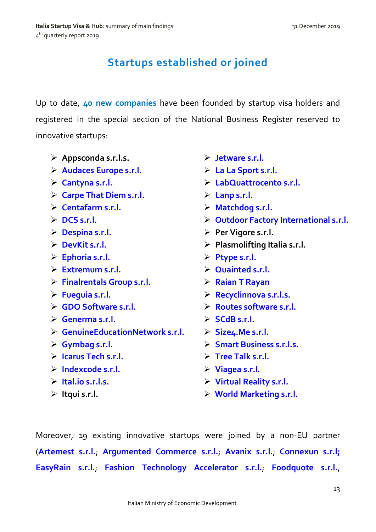# **Startups established or joined**

Up to date, **40 new companies** have been founded by startup visa holders and registered in the special section of the National Business Register reserved to innovative startups:

- **Appsconda s.r.l.s.**
- **[Audaces Europe s.r.l.](http://startup.registroimprese.it/isin/dettaglioStartup?2&id=KXU3bCJQBfS92AJOXqJVKg%2BWN%2BvqCSsgwKwlVw/how%3D%3D)**
- **[Cantyna s.r.l.](http://startup.registroimprese.it/isin/dettaglioStartup?5&id=KXU3bCJQBfS92AJOXqJVKg%2BWNunmDSorwawuUwjhow%3D%3D)**
- **[Carpe That Diem s.r.l.](http://startup.registroimprese.it/isin/dettaglioStartup?5&id=KXU3bCJQBfS92AJOXqJVKg%2BWNunqDCAiwqwuUwzhow%3D%3D)**
- **[Centafarm s.r.l.](http://startup.registroimprese.it/isin/dettaglioStartup?6&id=KXU3bCJQBfS92AJOXqJVKg%2BWN%2BjoCSQqxqwmXAfhow%3D%3D)**
- $\triangleright$  DCS s.r.l.
- **[Despina s.r.l.](http://startup.registroimprese.it/isin/dettaglioStartup?3&id=KXU3bCJQBfS92AJOXqJVKg%2BWN%2BzuByolyawlXQ7how%3D%3D)**
- **[DevKit s.r.l.](http://startup.registroimprese.it/isin/dettaglioStartup?11&id=KXU3bCJQBfS92AJOXqJVKg%2BWNuzuDSUnxq0nVQfhow%3D%3D)**
- **[Ephoria s.r.l.](http://startup.registroimprese.it/isin/dettaglioStartup?4&id=KXU3bCJQBfS92AJOXqJVKg%2BWN%2B/nCyMiwKwjXQfhow%3D%3D)**
- **[Extremum s.r.l.](http://startup.registroimprese.it/isin/dettaglioStartup?12&id=KXU3bCJQBfS92AJOXqJVKg%2BWN%2BjpCCMmyKwnXA/how%3D%3D)**
- **[Finalrentals Group s.r.l.](http://startup.registroimprese.it/isin/dettaglioStartup?15&id=KXU3bCJQBfS92AJOXqJVKg%2BWN%2BDnDSEixKwuUw7how%3D%3D)**
- **[Fueguia s.r.l.](http://startup.registroimprese.it/isin/dettaglioStartup?16&id=KXU3bCJQBfS92AJOXqJVKg%2BWN%2BDvDyUgxqwuUwzhow%3D%3D)**
- **[GDO Software s.r.l.](http://startup.registroimprese.it/isin/dettaglioStartup?19&id=KXU3bCJQBfS92AJOXqJVKg%2BWNunsCSEnxKwuUwvhow%3D%3D)**
- **[Generma s.r.l.](http://startup.registroimprese.it/isin/dettaglioStartup?20&id=KXU3bCJQBfS92AJOXqJVKg%2BWN%2BvsCCUnwqwjUQbhow%3D%3D)**
- **[GenuineEducationNetwork s.r.l.](http://startup.registroimprese.it/isin/dettaglioStartup?21&id=KXU3bCJQBfS92AJOXqJVKg%2BWN%2BHoCiQrw6wuUwvhow%3D%3D)**
- **[Gymbag s.r.l.](http://startup.registroimprese.it/isin/dettaglioStartup?24&id=KXU3bCJQBfS92AJOXqJVKg%2BWN%2BDpDSMhyKwuUwrhow%3D%3D)**
- **[Icarus Tech s.r.l.](http://startup.registroimprese.it/isin/dettaglioStartup?3&id=KXU3bCJQBfS92AJOXqJVKg%2BWN%2BrmDiQhyawnUQrhow%3D%3D)**
- **[Indexcode s.r.l.](http://startup.registroimprese.it/isin/dettaglioStartup?25&id=KXU3bCJQBfS92AJOXqJVKg%2BWN%2BjpDSonxqwnXAzhow%3D%3D)**
- **[Ital.io s.r.l.s.](http://startup.registroimprese.it/isin/dettaglioStartup?26&id=KXU3bCJQBfS92AJOXqJVKg%2BWN%2BzqBiQix6whUAvhow%3D%3D)**
- **Itqui s.r.l.**
- **[Jetware s.r.l.](http://startup.registroimprese.it/isin/dettaglioStartup?27&id=KXU3bCJQBfS92AJOXqJVKg%2BWNu3tDiYnwK0nVQbhow%3D%3D)**
- **[La La Sport s.r.l.](http://startup.registroimprese.it/isin/dettaglioStartup?6&id=KXU3bCJQBfS92AJOXqJVKg%2BWN%2BvrCiQnwKwlVwjhow%3D%3D)**
- **[LabQuattrocento s.r.l.](http://startup.registroimprese.it/isin/dettaglioStartup?30&id=KXU3bCJQBfS92AJOXqJVKg%2BWN%2BHpByckx6wuUw3how%3D%3D)**
- **[Lanp s.r.l.](http://www.ulissegroup.com/)**
- **[Matchdog s.r.l.](http://startup.registroimprese.it/isin/dettaglioStartup?9&id=KXU3bCJQBfS92AJOXqJVKg%2BWN%2B/nDSUlwKwjXQzhow%3D%3D)**
- **[Outdoor Factory International s.r.l.](http://startup.registroimprese.it/isin/dettaglioStartup?31&id=KXU3bCJQBfS92AJOXqJVKg%2BWN%2BvrBiAhwqwuXA3how%3D%3D)**
- **Per Vigore s.r.l.**
- **Plasmolifting Italia s.r.l.**
- **[Ptype s.r.l.](http://startup.registroimprese.it/isin/dettaglioStartup?34&id=KXU3bCJQBfS92AJOXqJVKg%2BWN%2BvpCyshwqwuVQjhow%3D%3D)**
- **[Quainted s.r.l.](http://startup.registroimprese.it/isin/dettaglioStartup?37&id=KXU3bCJQBfS92AJOXqJVKg%2BWNunvDioqxqwuUwzhow%3D%3D)**
- **[Raian T Rayan](http://startup.registroimprese.it/isin/dettaglioStartup?4&id=KXU3bCJQBfS92AJOXqJVKg%2BWNuntDCUhxawuUw/how%3D%3D)**
- **[Recyclinnova s.r.l.s.](http://startup.registroimprese.it/isin/dettaglioStartup?41&id=KXU3bCJQBfS92AJOXqJVKg%2BWN%2BrqDyMlxqwgXQvhow%3D%3D)**
- **[Routes software s.r.l.](http://startup.registroimprese.it/isin/dettaglioStartup?44&id=KXU3bCJQBfS92AJOXqJVKg%2BWN%2BrrCCoiyawmVgfhow%3D%3D)**
- **[SCdB s.r.l.](http://startup.registroimprese.it/isin/dettaglioStartup?47&id=KXU3bCJQBfS92AJOXqJVKg%2BWN%2BjqDyAhw6wiVw3how%3D%3D)**
- **[Size4.Me s.r.l.](http://startup.registroimprese.it/isin/dettaglioStartup?50&id=KXU3bCJQBfS92AJOXqJVKg%2BWN%2BjtCSMqx6wjUA3how%3D%3D)**
- **[Smart Business s.r.l.s.](http://startup.registroimprese.it/isin/dettaglioStartup?53&id=KXU3bCJQBfS92AJOXqJVKg%2BWN%2BjoDSMmx6wiUAnhow%3D%3D)**
- **[Tree Talk s.r.l.](http://startup.registroimprese.it/isin/dettaglioStartup?57&id=KXU3bCJQBfS92AJOXqJVKg%2BWNuzuDisixK0nVQzhow%3D%3D)**
- **[Viagea s.r.l.](http://startup.registroimprese.it/isin/dettaglioStartup?60&id=KXU3bCJQBfS92AJOXqJVKg%2BWN%2BjrCSArwawlXAjhow%3D%3D)**
- **[Virtual Reality s.r.l.](http://startup.registroimprese.it/isin/dettaglioStartup?63&id=KXU3bCJQBfS92AJOXqJVKg%2BWNu3pCyIgw60nVQjhow%3D%3D)**
- **[World Marketing s.r.l.](http://startup.registroimprese.it/isin/dettaglioStartup?66&id=KXU3bCJQBfS92AJOXqJVKg%2BWN%2BjnCiAnxKwjVg7how%3D%3D)**

Moreover, 19 existing innovative startups were joined by a non-EU partner (**[Artemest s.r.l.](https://artemest.com/)**; **[Argumented Commerce s.r.l.](http://www.schermaontc.com/)**; **[Avanix s.r.l.](http://www.avanix.it/)**; **[Connexun s.r.l;](https://connexun.com/en/) [EasyRain s.r.l.](http://www.easyrain.it/)**; **[Fashion Technology Accelerator s.r.l.](http://www.ftaccelerator.it/)**; **[Foodquote s.r.l.](https://www.foodscovery.it/welcome)**,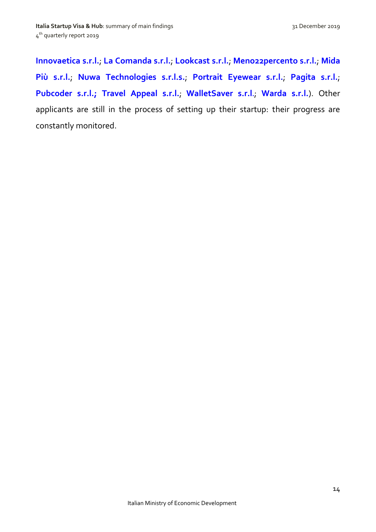**[Innovaetica s.r.l.](http://www.innovaetica.com/)**; **[La Comanda s.r.l.](http://www.lacomanda.it/)**; **[Lookcast s.r.l.](http://www.lookcast.com/)**; **[Meno22percento s.r.l.](https://www.meno22percento.it/)**; **[Mida](http://www.midapiu.it/)  [Più s.r.l.](http://www.midapiu.it/)**; **[Nuwa Technologies s.r.l.s.](http://www.nuwatech.com/)**; **[Portrait Eyewear s.r.l.](http://portraiteyewear.com/)**; **[Pagita s.r.l.](http://www.pagita.com/)**; **[Pubcoder s.r.l.;](http://www.pubcoder.com/) [Travel Appeal s.r.l.](http://www.travelappeal.com/)**; **[WalletSaver s.r.l](http://www.walletsaver.com/).**; **[Warda s.r.l.](http://warda.it/IT/index.html#0)**). Other applicants are still in the process of setting up their startup: their progress are constantly monitored.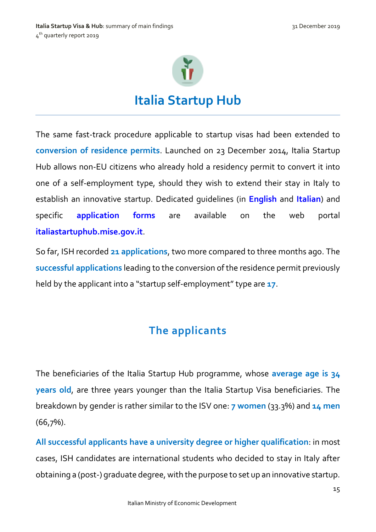

# **Italia Startup Hub**

<span id="page-14-0"></span>The same fast-track procedure applicable to startup visas had been extended to **conversion of residence permits**. Launched on 23 December 2014, Italia Startup Hub allows non-EU citizens who already hold a residency permit to convert it into one of a self-employment type, should they wish to extend their stay in Italy to establish an innovative startup. Dedicated guidelines (in **[English](http://italiastartupvisa.mise.gov.it/media/documents/Linee%20Guida%20Italia%20Startup%20Hub%20%5bEng%5d.pdf)** and **[Italian](http://italiastartupvisa.mise.gov.it/media/documents/Linee%20Guida%20Italia%20Startup%20Hub.pdf)**) and specific **[application](http://italiastartupvisa.mise.gov.it/#filing_cabinet_ish) forms** are available on the web portal **[italiastartuphub.mise.gov.it](http://italiastartupvisa.mise.gov.it/#ISHhome)**.

So far, ISH recorded **21 applications**, two more compared to three months ago. The **successful applications** leading to the conversion of the residence permit previously held by the applicant into a "startup self-employment" type are 17.

# **The applicants**

<span id="page-14-1"></span>The beneficiaries of the Italia Startup Hub programme, whose **average age is 34 years old**, are three years younger than the Italia Startup Visa beneficiaries. The breakdown by gender is rather similar to the ISV one: **7 women** (33.3%) and **14 men** (66,7%).

**All successful applicants have a university degree or higher qualification**: in most cases, ISH candidates are international students who decided to stay in Italy after obtaining a (post-) graduate degree, with the purpose to set up an innovative startup.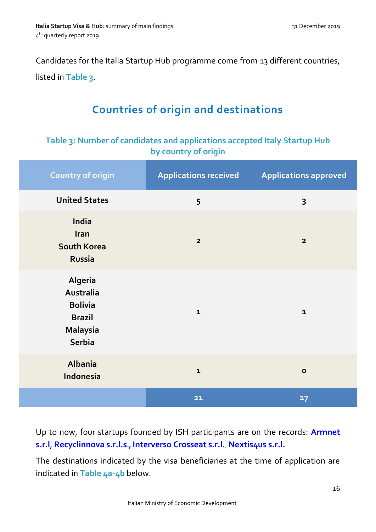Candidates for the Italia Startup Hub programme come from 13 different countries, listed in **Table 3**.

# **Countries of origin and destinations**

#### <span id="page-15-0"></span>**Table 3: Number of candidates and applications accepted Italy Startup Hub by country of origin**

| <b>Country of origin</b>                                                                    | <b>Applications received</b> | <b>Applications approved</b> |
|---------------------------------------------------------------------------------------------|------------------------------|------------------------------|
| <b>United States</b>                                                                        | 5                            | 3                            |
| India<br>Iran<br><b>South Korea</b><br><b>Russia</b>                                        | $\overline{\mathbf{2}}$      | $\overline{\mathbf{2}}$      |
| Algeria<br>Australia<br><b>Bolivia</b><br><b>Brazil</b><br><b>Malaysia</b><br><b>Serbia</b> | $\mathbf{1}$                 | $\mathbf 1$                  |
| Albania<br>Indonesia                                                                        | $\mathbf{1}$                 | $\mathbf 0$                  |
|                                                                                             | $21$                         | 17                           |

Up to now, four startups founded by ISH participants are on the records: **[Armnet](http://www.wcap.tim.it/it/startup/armnet)  [s.r.l](http://www.wcap.tim.it/it/startup/armnet)**, **[Recyclinnova s.r.l.s](http://www.recyclinnova.it/)., [Interverso Crosseat s.r.l.](http://interversoworld.blogspot.it/)**, **[Nextis4us s.r.l.](http://mixartista.it/it/)**

The destinations indicated by the visa beneficiaries at the time of application are indicated in **Table 4a-4b** below.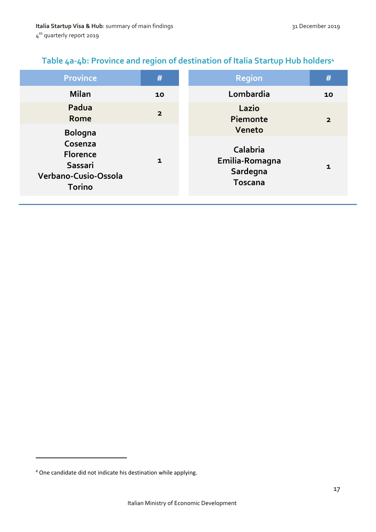#### **Table 4a-4b: Province and region of destination of Italia Startup Hub holders<sup>4</sup>**

| <b>Province</b>                                                                                  | #              | <b>Region</b>                                                      | #              |
|--------------------------------------------------------------------------------------------------|----------------|--------------------------------------------------------------------|----------------|
| <b>Milan</b>                                                                                     | 10             | Lombardia                                                          | 10             |
| Padua<br>Rome                                                                                    | $\overline{2}$ | Lazio<br>Piemonte                                                  | $\overline{2}$ |
| <b>Bologna</b><br>Cosenza<br><b>Florence</b><br>Sassari<br>Verbano-Cusio-Ossola<br><b>Torino</b> | $\mathbf{1}$   | Veneto<br>Calabria<br>Emilia-Romagna<br>Sardegna<br><b>Toscana</b> | 1              |

**.** 

<sup>4</sup> One candidate did not indicate his destination while applying.